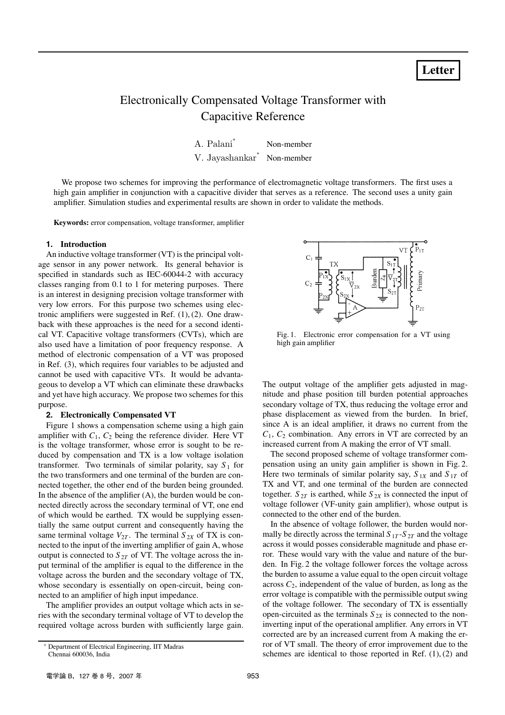**Letter**

# Electronically Compensated Voltage Transformer with Capacitive Reference

A. Palani<sup>∗</sup> Non-member V. Jayashankar<sup>∗</sup> Non-member

We propose two schemes for improving the performance of electromagnetic voltage transformers. The first uses a high gain amplifier in conjunction with a capacitive divider that serves as a reference. The second uses a unity gain amplifier. Simulation studies and experimental results are shown in order to validate the methods.

**Keywords:** error compensation, voltage transformer, amplifier

#### **1. Introduction**

An inductive voltage transformer (VT) is the principal voltage sensor in any power network. Its general behavior is specified in standards such as IEC-60044-2 with accuracy classes ranging from 0.1 to 1 for metering purposes. There is an interest in designing precision voltage transformer with very low errors. For this purpose two schemes using electronic amplifiers were suggested in Ref. (1), (2). One drawback with these approaches is the need for a second identical VT. Capacitive voltage transformers (CVTs), which are also used have a limitation of poor frequency response. A method of electronic compensation of a VT was proposed in Ref. (3), which requires four variables to be adjusted and cannot be used with capacitive VTs. It would be advantageous to develop a VT which can eliminate these drawbacks and yet have high accuracy. We propose two schemes for this purpose.

#### **2. Electronically Compensated VT**

Figure 1 shows a compensation scheme using a high gain amplifier with  $C_1$ ,  $C_2$  being the reference divider. Here VT is the voltage transformer, whose error is sought to be reduced by compensation and TX is a low voltage isolation transformer. Two terminals of similar polarity, say  $S_1$  for the two transformers and one terminal of the burden are connected together, the other end of the burden being grounded. In the absence of the amplifier  $(A)$ , the burden would be connected directly across the secondary terminal of VT, one end of which would be earthed. TX would be supplying essentially the same output current and consequently having the same terminal voltage  $V_{2T}$ . The terminal  $S_{2X}$  of TX is connected to the input of the inverting amplifier of gain A, whose output is connected to  $S_{2T}$  of VT. The voltage across the input terminal of the amplifier is equal to the difference in the voltage across the burden and the secondary voltage of TX, whose secondary is essentially on open-circuit, being connected to an amplifier of high input impedance.

The amplifier provides an output voltage which acts in series with the secondary terminal voltage of VT to develop the required voltage across burden with sufficiently large gain.



Fig. 1. Electronic error compensation for a VT using high gain amplifier

The output voltage of the amplifier gets adjusted in magnitude and phase position till burden potential approaches secondary voltage of TX, thus reducing the voltage error and phase displacement as viewed from the burden. In brief, since A is an ideal amplifier, it draws no current from the  $C_1$ ,  $C_2$  combination. Any errors in VT are corrected by an increased current from A making the error of VT small.

The second proposed scheme of voltage transformer compensation using an unity gain amplifier is shown in Fig. 2. Here two terminals of similar polarity say,  $S_{1X}$  and  $S_{1T}$  of TX and VT, and one terminal of the burden are connected together.  $S_{2T}$  is earthed, while  $S_{2X}$  is connected the input of voltage follower (VF-unity gain amplifier), whose output is connected to the other end of the burden.

In the absence of voltage follower, the burden would normally be directly across the terminal  $S_{1T}$ - $S_{2T}$  and the voltage across it would posses considerable magnitude and phase error. These would vary with the value and nature of the burden. In Fig. 2 the voltage follower forces the voltage across the burden to assume a value equal to the open circuit voltage across  $C_2$ , independent of the value of burden, as long as the error voltage is compatible with the permissible output swing of the voltage follower. The secondary of TX is essentially open-circuited as the terminals  $S_{2X}$  is connected to the noninverting input of the operational amplifier. Any errors in VT corrected are by an increased current from A making the error of VT small. The theory of error improvement due to the schemes are identical to those reported in Ref.  $(1)$ ,  $(2)$  and

Department of Electrical Engineering, IIT Madras Chennai 600036, India